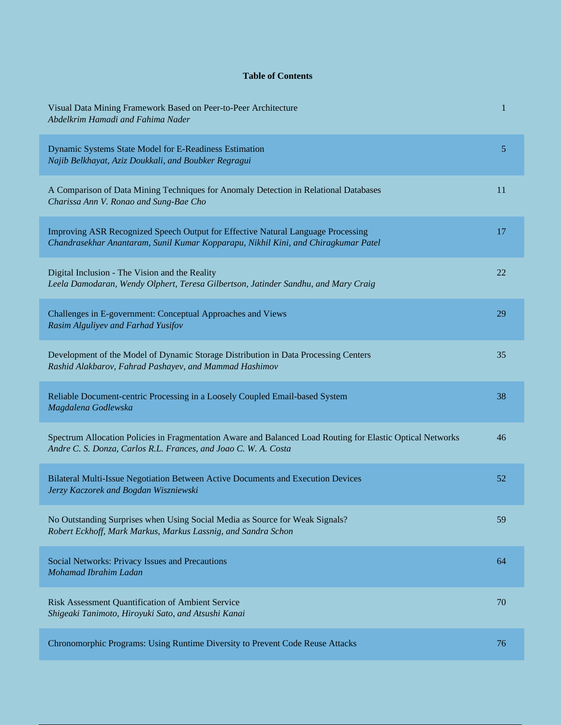## **Table of Contents**

| Visual Data Mining Framework Based on Peer-to-Peer Architecture<br>Abdelkrim Hamadi and Fahima Nader                                                                          | 1  |
|-------------------------------------------------------------------------------------------------------------------------------------------------------------------------------|----|
| Dynamic Systems State Model for E-Readiness Estimation<br>Najib Belkhayat, Aziz Doukkali, and Boubker Regragui                                                                | 5  |
| A Comparison of Data Mining Techniques for Anomaly Detection in Relational Databases<br>Charissa Ann V. Ronao and Sung-Bae Cho                                                | 11 |
| Improving ASR Recognized Speech Output for Effective Natural Language Processing<br>Chandrasekhar Anantaram, Sunil Kumar Kopparapu, Nikhil Kini, and Chiragkumar Patel        | 17 |
| Digital Inclusion - The Vision and the Reality<br>Leela Damodaran, Wendy Olphert, Teresa Gilbertson, Jatinder Sandhu, and Mary Craig                                          | 22 |
| Challenges in E-government: Conceptual Approaches and Views<br>Rasim Alguliyev and Farhad Yusifov                                                                             | 29 |
| Development of the Model of Dynamic Storage Distribution in Data Processing Centers<br>Rashid Alakbarov, Fahrad Pashayev, and Mammad Hashimov                                 | 35 |
| Reliable Document-centric Processing in a Loosely Coupled Email-based System<br>Magdalena Godlewska                                                                           | 38 |
| Spectrum Allocation Policies in Fragmentation Aware and Balanced Load Routing for Elastic Optical Networks<br>Andre C. S. Donza, Carlos R.L. Frances, and Joao C. W. A. Costa | 46 |
| Bilateral Multi-Issue Negotiation Between Active Documents and Execution Devices<br>Jerzy Kaczorek and Bogdan Wiszniewski                                                     | 52 |
| No Outstanding Surprises when Using Social Media as Source for Weak Signals?<br>Robert Eckhoff, Mark Markus, Markus Lassnig, and Sandra Schon                                 | 59 |
| Social Networks: Privacy Issues and Precautions<br>Mohamad Ibrahim Ladan                                                                                                      | 64 |
| Risk Assessment Quantification of Ambient Service<br>Shigeaki Tanimoto, Hiroyuki Sato, and Atsushi Kanai                                                                      | 70 |
| Chronomorphic Programs: Using Runtime Diversity to Prevent Code Reuse Attacks                                                                                                 | 76 |